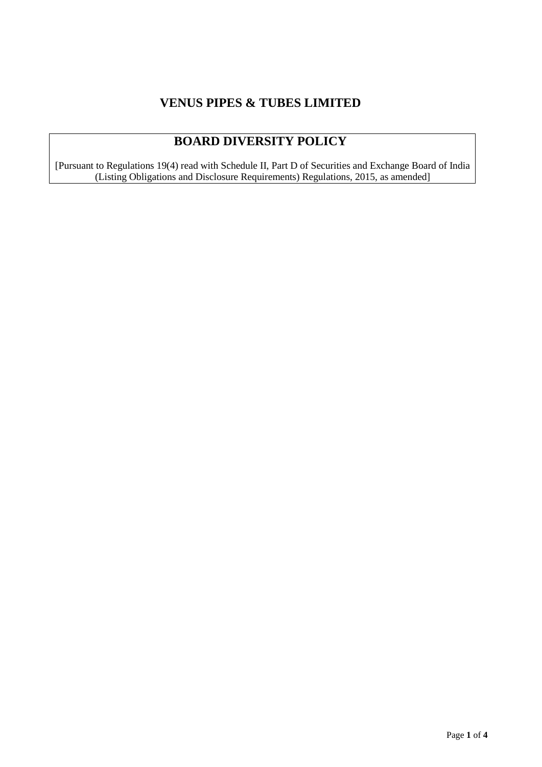# **VENUS PIPES & TUBES LIMITED**

# **BOARD DIVERSITY POLICY**

[Pursuant to Regulations 19(4) read with Schedule II, Part D of Securities and Exchange Board of India (Listing Obligations and Disclosure Requirements) Regulations, 2015, as amended]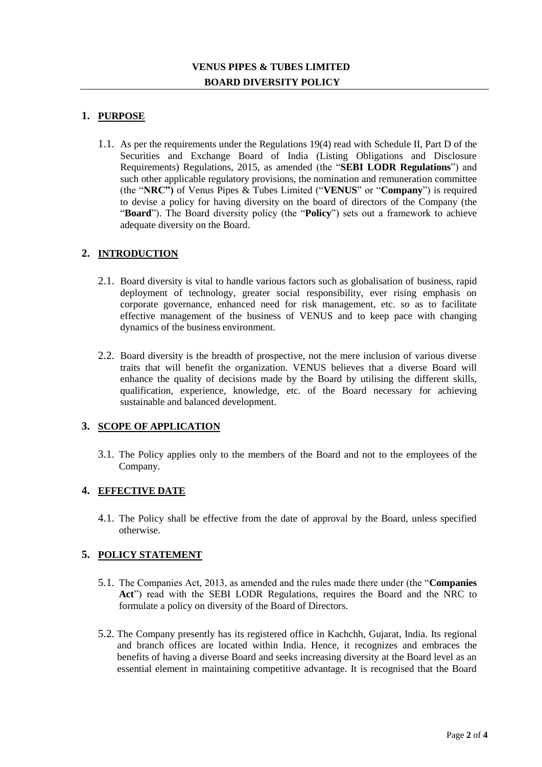# **1. PURPOSE**

1.1. As per the requirements under the Regulations 19(4) read with Schedule II, Part D of the Securities and Exchange Board of India (Listing Obligations and Disclosure Requirements) Regulations, 2015, as amended (the "**SEBI LODR Regulations**") and such other applicable regulatory provisions, the nomination and remuneration committee (the "**NRC")** of Venus Pipes & Tubes Limited ("**VENUS**" or "**Company**") is required to devise a policy for having diversity on the board of directors of the Company (the "**Board**"). The Board diversity policy (the "**Policy**") sets out a framework to achieve adequate diversity on the Board.

## **2. INTRODUCTION**

- 2.1. Board diversity is vital to handle various factors such as globalisation of business, rapid deployment of technology, greater social responsibility, ever rising emphasis on corporate governance, enhanced need for risk management, etc. so as to facilitate effective management of the business of VENUS and to keep pace with changing dynamics of the business environment.
- 2.2. Board diversity is the breadth of prospective, not the mere inclusion of various diverse traits that will benefit the organization. VENUS believes that a diverse Board will enhance the quality of decisions made by the Board by utilising the different skills, qualification, experience, knowledge, etc. of the Board necessary for achieving sustainable and balanced development.

### **3. SCOPE OF APPLICATION**

3.1. The Policy applies only to the members of the Board and not to the employees of the Company.

### **4. EFFECTIVE DATE**

4.1. The Policy shall be effective from the date of approval by the Board, unless specified otherwise.

### **5. POLICY STATEMENT**

- 5.1. The Companies Act, 2013, as amended and the rules made there under (the "**Companies Act**") read with the SEBI LODR Regulations, requires the Board and the NRC to formulate a policy on diversity of the Board of Directors.
- 5.2. The Company presently has its registered office in Kachchh, Gujarat, India. Its regional and branch offices are located within India. Hence, it recognizes and embraces the benefits of having a diverse Board and seeks increasing diversity at the Board level as an essential element in maintaining competitive advantage. It is recognised that the Board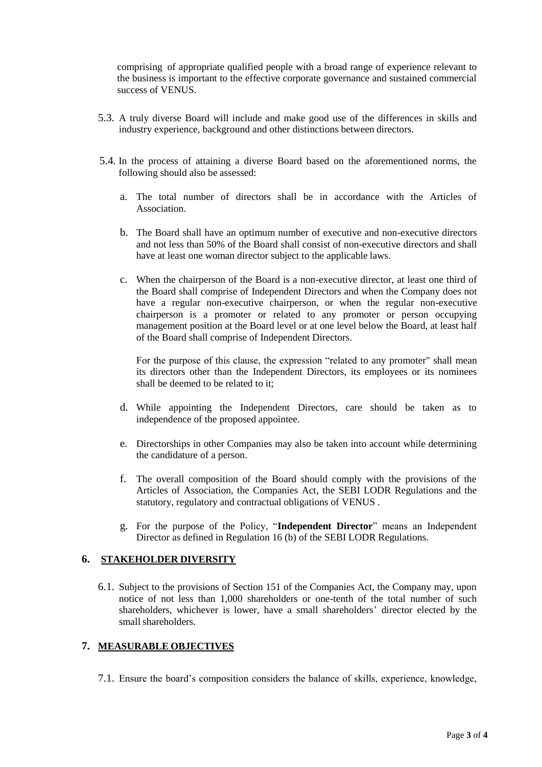comprising of appropriate qualified people with a broad range of experience relevant to the business is important to the effective corporate governance and sustained commercial success of VENUS.

- 5.3. A truly diverse Board will include and make good use of the differences in skills and industry experience, background and other distinctions between directors.
- 5.4. In the process of attaining a diverse Board based on the aforementioned norms, the following should also be assessed:
	- a. The total number of directors shall be in accordance with the Articles of Association.
	- b. The Board shall have an optimum number of executive and non-executive directors and not less than 50% of the Board shall consist of non-executive directors and shall have at least one woman director subject to the applicable laws.
	- c. When the chairperson of the Board is a non-executive director, at least one third of the Board shall comprise of Independent Directors and when the Company does not have a regular non-executive chairperson, or when the regular non-executive chairperson is a promoter or related to any promoter or person occupying management position at the Board level or at one level below the Board, at least half of the Board shall comprise of Independent Directors.

For the purpose of this clause, the expression "related to any promoter" shall mean its directors other than the Independent Directors, its employees or its nominees shall be deemed to be related to it;

- d. While appointing the Independent Directors, care should be taken as to independence of the proposed appointee.
- e. Directorships in other Companies may also be taken into account while determining the candidature of a person.
- f. The overall composition of the Board should comply with the provisions of the Articles of Association, the Companies Act, the SEBI LODR Regulations and the statutory, regulatory and contractual obligations of VENUS .
- g. For the purpose of the Policy, "**Independent Director**" means an Independent Director as defined in Regulation 16 (b) of the SEBI LODR Regulations.

#### **6. STAKEHOLDER DIVERSITY**

6.1. Subject to the provisions of Section 151 of the Companies Act, the Company may, upon notice of not less than 1,000 shareholders or one-tenth of the total number of such shareholders, whichever is lower, have a small shareholders' director elected by the small shareholders.

#### **7. MEASURABLE OBJECTIVES**

7.1. Ensure the board's composition considers the balance of skills, experience, knowledge,